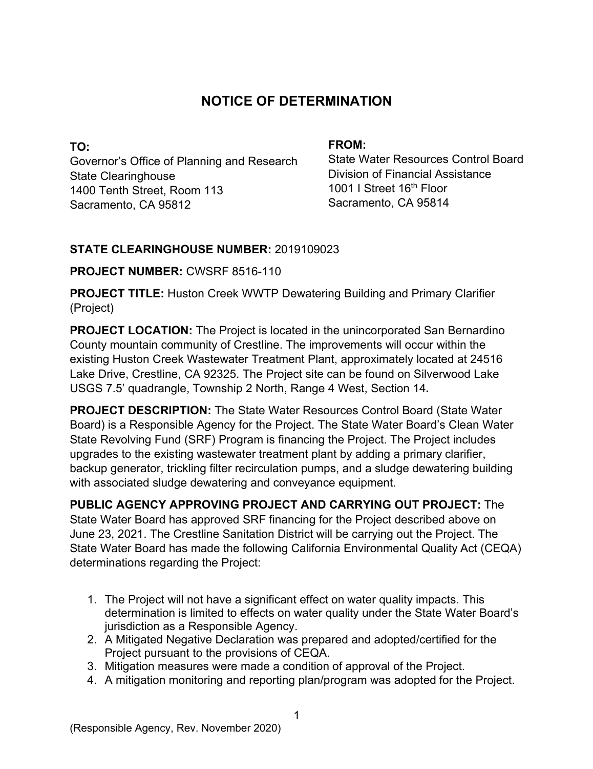# **NOTICE OF DETERMINATION**

**TO:**  Governor's Office of Planning and Research State Clearinghouse 1400 Tenth Street, Room 113 Sacramento, CA 95812

#### **FROM:**

State Water Resources Control Board Division of Financial Assistance 1001 I Street 16<sup>th</sup> Floor Sacramento, CA 95814

## **STATE CLEARINGHOUSE NUMBER:** 2019109023

## **PROJECT NUMBER:** CWSRF 8516-110

**PROJECT TITLE:** Huston Creek WWTP Dewatering Building and Primary Clarifier (Project)

**PROJECT LOCATION:** The Project is located in the unincorporated San Bernardino County mountain community of Crestline. The improvements will occur within the existing Huston Creek Wastewater Treatment Plant, approximately located at 24516 Lake Drive, Crestline, CA 92325. The Project site can be found on Silverwood Lake USGS 7.5' quadrangle, Township 2 North, Range 4 West, Section 14**.**

**PROJECT DESCRIPTION:** The State Water Resources Control Board (State Water Board) is a Responsible Agency for the Project. The State Water Board's Clean Water State Revolving Fund (SRF) Program is financing the Project. The Project includes upgrades to the existing wastewater treatment plant by adding a primary clarifier, backup generator, trickling filter recirculation pumps, and a sludge dewatering building with associated sludge dewatering and conveyance equipment.

**PUBLIC AGENCY APPROVING PROJECT AND CARRYING OUT PROJECT:** The State Water Board has approved SRF financing for the Project described above on June 23, 2021. The Crestline Sanitation District will be carrying out the Project. The State Water Board has made the following California Environmental Quality Act (CEQA) determinations regarding the Project:

- 1. The Project will not have a significant effect on water quality impacts. This determination is limited to effects on water quality under the State Water Board's jurisdiction as a Responsible Agency.
- 2. A Mitigated Negative Declaration was prepared and adopted/certified for the Project pursuant to the provisions of CEQA.
- 3. Mitigation measures were made a condition of approval of the Project.
- 4. A mitigation monitoring and reporting plan/program was adopted for the Project.